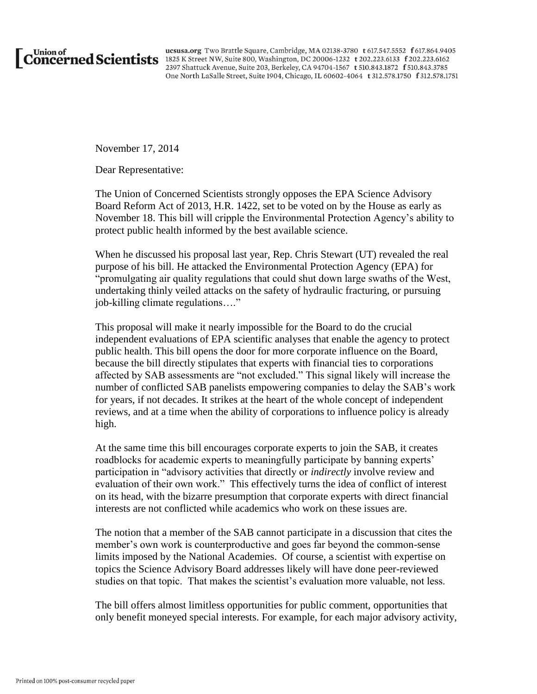

ucsusa.org Two Brattle Square, Cambridge, MA 02138-3780 t 617.547.5552 f 617.864.9405 Union of ucsusa.org Two Brattle Square, Cambridge, MA 02138-3780 t 617.547.5552 f 617.864.940 2397 Shattuck Avenue, Suite 203, Berkeley, CA 94704-1567 t 510.843.1872 f 510.843.3785 One North LaSalle Street, Suite 1904, Chicago, IL 60602-4064 t 312.578.1750 f 312.578.1751

November 17, 2014

Dear Representative:

The Union of Concerned Scientists strongly opposes the EPA Science Advisory Board Reform Act of 2013, H.R. 1422, set to be voted on by the House as early as November 18. This bill will cripple the Environmental Protection Agency's ability to protect public health informed by the best available science.

When he discussed his proposal last year, Rep. Chris Stewart (UT) revealed the real purpose of his bill. He attacked the Environmental Protection Agency (EPA) for "promulgating air quality regulations that could shut down large swaths of the West, undertaking thinly veiled attacks on the safety of hydraulic fracturing, or pursuing job-killing climate regulations…."

This proposal will make it nearly impossible for the Board to do the crucial independent evaluations of EPA scientific analyses that enable the agency to protect public health. This bill opens the door for more corporate influence on the Board, because the bill directly stipulates that experts with financial ties to corporations affected by SAB assessments are "not excluded." This signal likely will increase the number of conflicted SAB panelists empowering companies to delay the SAB's work for years, if not decades. It strikes at the heart of the whole concept of independent reviews, and at a time when the ability of corporations to influence policy is already high.

At the same time this bill encourages corporate experts to join the SAB, it creates roadblocks for academic experts to meaningfully participate by banning experts' participation in "advisory activities that directly or *indirectly* involve review and evaluation of their own work." This effectively turns the idea of conflict of interest on its head, with the bizarre presumption that corporate experts with direct financial interests are not conflicted while academics who work on these issues are.

The notion that a member of the SAB cannot participate in a discussion that cites the member's own work is counterproductive and goes far beyond the common-sense limits imposed by the National Academies. Of course, a scientist with expertise on topics the Science Advisory Board addresses likely will have done peer-reviewed studies on that topic. That makes the scientist's evaluation more valuable, not less.

The bill offers almost limitless opportunities for public comment, opportunities that only benefit moneyed special interests. For example, for each major advisory activity,